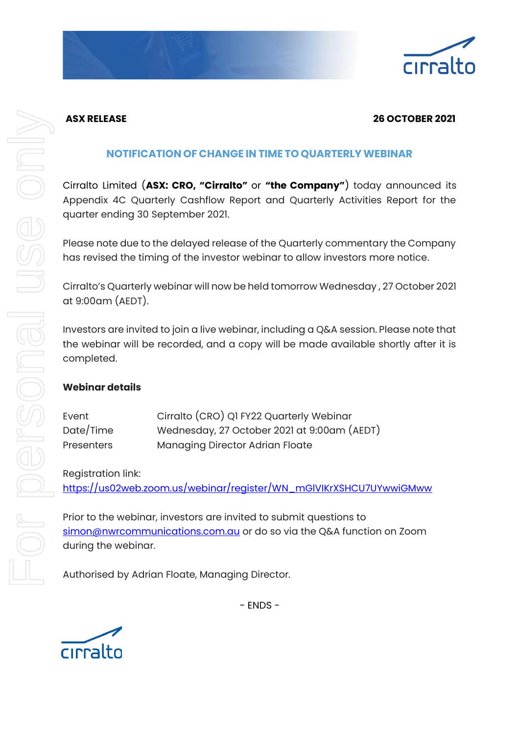

# **ASX RELEASE 26 OCTOBER 2021**

# **NOTIFICATION OF CHANGE IN TIME TO QUARTERLYWEBINAR**

Cirralto Limited (**ASX: CRO, "Cirralto"** or **"the Company"**) today announced its Appendix 4C Quarterly Cashflow Report and Quarterly Activities Report for the quarter ending 30 September 2021.

Please note due to the delayed release of the Quarterly commentary the Company has revised the timing of the investor webinar to allow investors more notice.

Cirralto's Quarterly webinar will now be held tomorrow Wednesday , 27 October 2021 at 9:00am (AEDT).

Investors are invited to join a live webinar, including a Q&A session. Please note that the webinar will be recorded, and a copy will be made available shortly after it is completed.

## **Webinar details**

| Event             | Cirralto (CRO) Q1 FY22 Quarterly Webinar    |
|-------------------|---------------------------------------------|
| Date/Time         | Wednesday, 27 October 2021 at 9:00am (AEDT) |
| <b>Presenters</b> | Managing Director Adrian Floate             |

Registration link:

[https://us02web.zoom.us/webinar/register/WN\\_mGlVIKrXSHCU7UYwwiGMww](https://us02web.zoom.us/webinar/register/WN_mGlVIKrXSHCU7UYwwiGMww)

Prior to the webinar, investors are invited to submit questions to [simon@nwrcommunications.com.au](mailto:simon@nwrcommunications.com.au) or do so via the Q&A function on Zoom during the webinar.

Authorised by Adrian Floate, Managing Director.



- ENDS -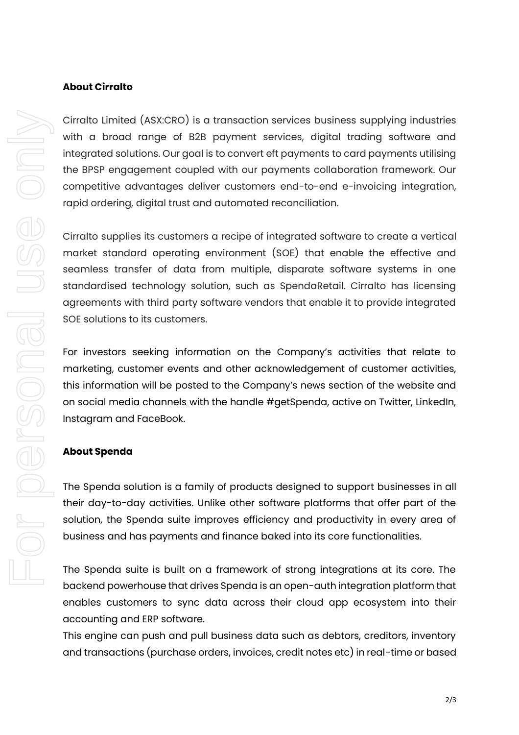#### **About Cirralto**

Cirralto Limited (ASX:CRO) is a transaction services business supplying industries with a broad range of B2B payment services, digital trading software and integrated solutions. Our goal is to convert eft payments to card payments utilising the BPSP engagement coupled with our payments collaboration framework. Our competitive advantages deliver customers end-to-end e-invoicing integration, rapid ordering, digital trust and automated reconciliation.

Cirralto supplies its customers a recipe of integrated software to create a vertical market standard operating environment (SOE) that enable the effective and seamless transfer of data from multiple, disparate software systems in one standardised technology solution, such as SpendaRetail. Cirralto has licensing agreements with third party software vendors that enable it to provide integrated SOE solutions to its customers.

For investors seeking information on the Company's activities that relate to marketing, customer events and other acknowledgement of customer activities, this information will be posted to the Company's news section of the website and on social media channels with the handle #getSpenda, active on Twitter, LinkedIn, Instagram and FaceBook.

### **About Spenda**

The Spenda solution is a family of products designed to support businesses in all their day-to-day activities. Unlike other software platforms that offer part of the solution, the Spenda suite improves efficiency and productivity in every area of business and has payments and finance baked into its core functionalities.

The Spenda suite is built on a framework of strong integrations at its core. The backend powerhouse that drives Spenda is an open-auth integration platform that enables customers to sync data across their cloud app ecosystem into their accounting and ERP software.

This engine can push and pull business data such as debtors, creditors, inventory and transactions (purchase orders, invoices, credit notes etc) in real-time or based